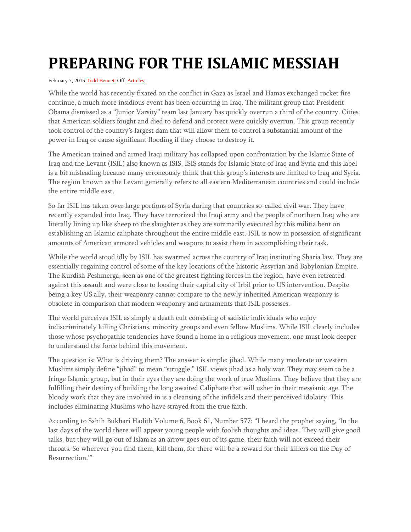## **PREPARING FOR THE ISLAMIC MESSIAH**

## February 7, 2015 [Todd Bennett](http://shemayisrael.net/author/tbennett/) Off [Articles,](http://shemayisrael.net/category/articles/)

While the world has recently fixated on the conflict in Gaza as Israel and Hamas exchanged rocket fire continue, a much more insidious event has been occurring in Iraq. The militant group that President Obama dismissed as a "Junior Varsity" team last January has quickly overrun a third of the country. Cities that American soldiers fought and died to defend and protect were quickly overrun. This group recently took control of the country's largest dam that will allow them to control a substantial amount of the power in Iraq or cause significant flooding if they choose to destroy it.

The American trained and armed Iraqi military has collapsed upon confrontation by the Islamic State of Iraq and the Levant (ISIL) also known as ISIS. ISIS stands for Islamic State of Iraq and Syria and this label is a bit misleading because many erroneously think that this group's interests are limited to Iraq and Syria. The region known as the Levant generally refers to all eastern Mediterranean countries and could include the entire middle east.

So far ISIL has taken over large portions of Syria during that countries so-called civil war. They have recently expanded into Iraq. They have terrorized the Iraqi army and the people of northern Iraq who are literally lining up like sheep to the slaughter as they are summarily executed by this militia bent on establishing an Islamic caliphate throughout the entire middle east. ISIL is now in possession of significant amounts of American armored vehicles and weapons to assist them in accomplishing their task.

While the world stood idly by ISIL has swarmed across the country of Iraq instituting Sharia law. They are essentially regaining control of some of the key locations of the historic Assyrian and Babylonian Empire. The Kurdish Peshmerga, seen as one of the greatest fighting forces in the region, have even retreated against this assault and were close to loosing their capital city of Irbil prior to US intervention. Despite being a key US ally, their weaponry cannot compare to the newly inherited American weaponry is obsolete in comparison that modern weaponry and armaments that ISIL possesses.

The world perceives ISIL as simply a death cult consisting of sadistic individuals who enjoy indiscriminately killing Christians, minority groups and even fellow Muslims. While ISIL clearly includes those whose psychopathic tendencies have found a home in a religious movement, one must look deeper to understand the force behind this movement.

The question is: What is driving them? The answer is simple: jihad. While many moderate or western Muslims simply define "jihad" to mean "struggle," ISIL views jihad as a holy war. They may seem to be a fringe Islamic group, but in their eyes they are doing the work of true Muslims. They believe that they are fulfilling their destiny of building the long awaited Caliphate that will usher in their messianic age. The bloody work that they are involved in is a cleansing of the infidels and their perceived idolatry. This includes eliminating Muslims who have strayed from the true faith.

According to Sahih Bukhari Hadith Volume 6, Book 61, Number 577: "I heard the prophet saying, 'In the last days of the world there will appear young people with foolish thoughts and ideas. They will give good talks, but they will go out of Islam as an arrow goes out of its game, their faith will not exceed their throats. So wherever you find them, kill them, for there will be a reward for their killers on the Day of Resurrection.'"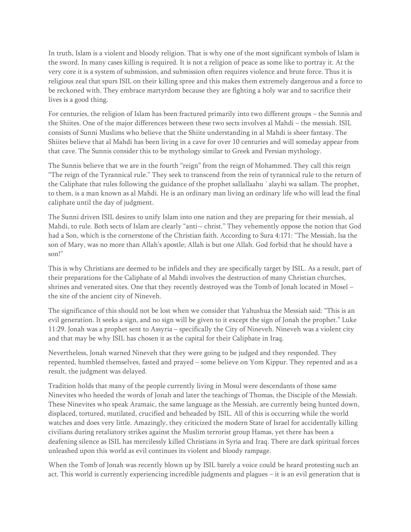In truth, Islam is a violent and bloody religion. That is why one of the most significant symbols of Islam is the sword. In many cases killing is required. It is not a religion of peace as some like to portray it. At the very core it is a system of submission, and submission often requires violence and brute force. Thus it is religious zeal that spurs ISIL on their killing spree and this makes them extremely dangerous and a force to be reckoned with. They embrace martyrdom because they are fighting a holy war and to sacrifice their lives is a good thing.

For centuries, the religion of Islam has been fractured primarily into two different groups – the Sunnis and the Shiites. One of the major differences between these two sects involves al Mahdi – the messiah. ISIL consists of Sunni Muslims who believe that the Shiite understanding in al Mahdi is sheer fantasy. The Shiites believe that al Mahdi has been living in a cave for over 10 centuries and will someday appear from that cave. The Sunnis consider this to be mythology similar to Greek and Persian mythology.

The Sunnis believe that we are in the fourth "reign" from the reign of Mohammed. They call this reign "The reign of the Tyrannical rule." They seek to transcend from the rein of tyrannical rule to the return of the Caliphate that rules following the guidance of the prophet sallallaahu `alayhi wa sallam. The prophet, to them, is a man known as al Mahdi. He is an ordinary man living an ordinary life who will lead the final caliphate until the day of judgment.

The Sunni driven ISIL desires to unify Islam into one nation and they are preparing for their messiah, al Mahdi, to rule. Both sects of Islam are clearly "anti-‐ christ." They vehemently oppose the notion that God had a Son, which is the cornerstone of the Christian faith. According to Sura 4:171: "The Messiah, Isa the son of Mary, was no more than Allah's apostle; Allah is but one Allah. God forbid that he should have a son!"

This is why Christians are deemed to be infidels and they are specifically target by ISIL. As a result, part of their preparations for the Caliphate of al Mahdi involves the destruction of many Christian churches, shrines and venerated sites. One that they recently destroyed was the Tomb of Jonah located in Mosel – the site of the ancient city of Nineveh.

The significance of this should not be lost when we consider that Yahushua the Messiah said: "This is an evil generation. It seeks a sign, and no sign will be given to it except the sign of Jonah the prophet." Luke 11:29. Jonah was a prophet sent to Assyria – specifically the City of Nineveh. Nineveh was a violent city and that may be why ISIL has chosen it as the capital for their Caliphate in Iraq.

Nevertheless, Jonah warned Nineveh that they were going to be judged and they responded. They repented, humbled themselves, fasted and prayed – some believe on Yom Kippur. They repented and as a result, the judgment was delayed.

Tradition holds that many of the people currently living in Mosul were descendants of those same Ninevites who heeded the words of Jonah and later the teachings of Thomas, the Disciple of the Messiah. These Ninevites who speak Aramaic, the same language as the Messiah, are currently being hunted down, displaced, tortured, mutilated, crucified and beheaded by ISIL. All of this is occurring while the world watches and does very little. Amazingly, they criticized the modern State of Israel for accidentally killing civilians during retaliatory strikes against the Muslim terrorist group Hamas, yet there has been a deafening silence as ISIL has mercilessly killed Christians in Syria and Iraq. There are dark spiritual forces unleashed upon this world as evil continues its violent and bloody rampage.

When the Tomb of Jonah was recently blown up by ISIL barely a voice could be heard protesting such an act. This world is currently experiencing incredible judgments and plagues – it is an evil generation that is